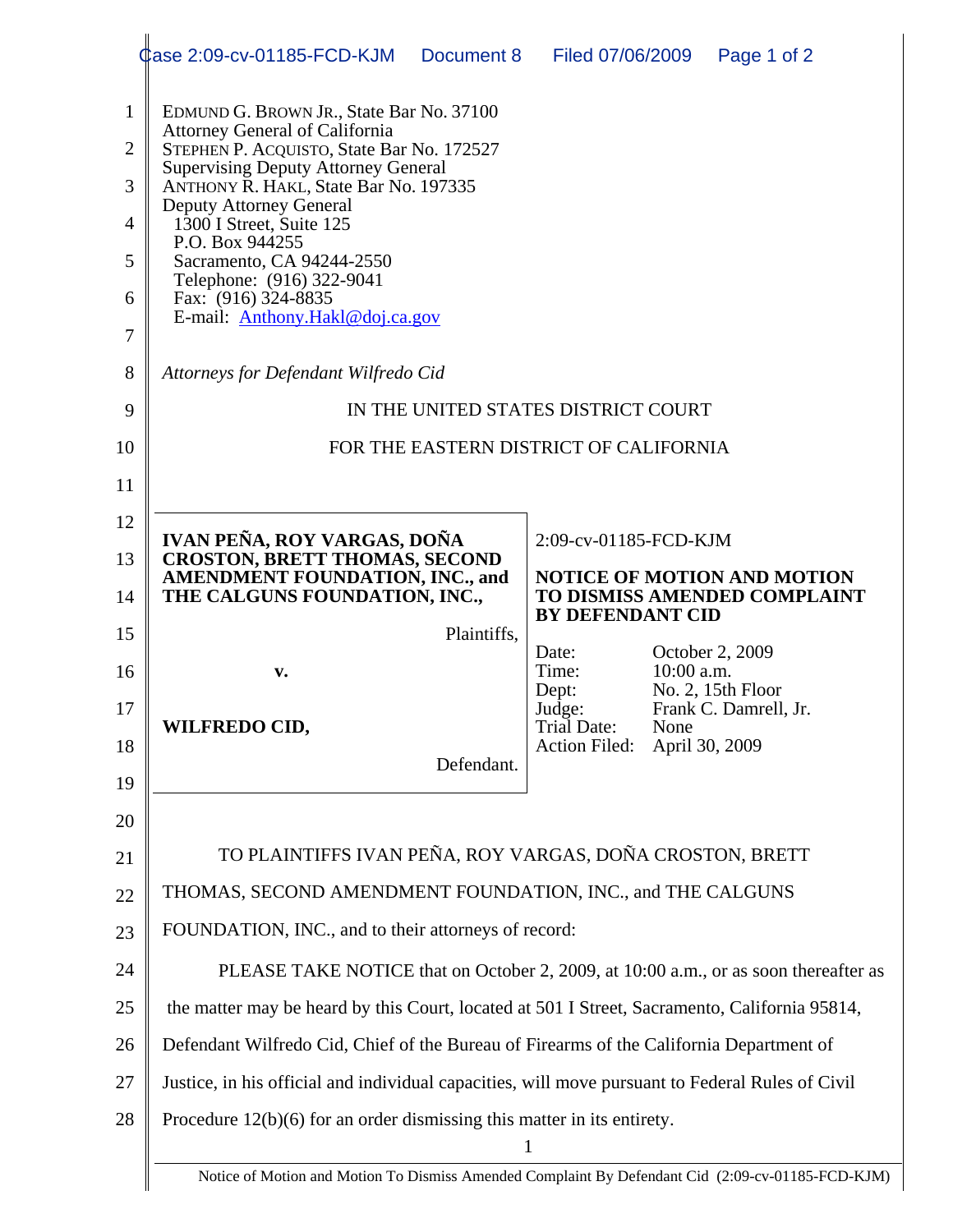|                | Case 2:09-cv-01185-FCD-KJM                                                                       | Document 8            | Filed 07/06/2009                   |                               | Page 1 of 2                  |  |
|----------------|--------------------------------------------------------------------------------------------------|-----------------------|------------------------------------|-------------------------------|------------------------------|--|
| $\mathbf{1}$   | EDMUND G. BROWN JR., State Bar No. 37100                                                         |                       |                                    |                               |                              |  |
| $\overline{2}$ | <b>Attorney General of California</b><br>STEPHEN P. ACQUISTO, State Bar No. 172527               |                       |                                    |                               |                              |  |
| 3              | <b>Supervising Deputy Attorney General</b><br>ANTHONY R. HAKL, State Bar No. 197335              |                       |                                    |                               |                              |  |
| 4              | <b>Deputy Attorney General</b><br>1300 I Street, Suite 125                                       |                       |                                    |                               |                              |  |
| 5              | P.O. Box 944255<br>Sacramento, CA 94244-2550                                                     |                       |                                    |                               |                              |  |
| 6              | Telephone: (916) 322-9041<br>Fax: (916) 324-8835                                                 |                       |                                    |                               |                              |  |
| 7              | E-mail: Anthony.Hakl@doj.ca.gov                                                                  |                       |                                    |                               |                              |  |
| 8              | Attorneys for Defendant Wilfredo Cid                                                             |                       |                                    |                               |                              |  |
| 9              | IN THE UNITED STATES DISTRICT COURT                                                              |                       |                                    |                               |                              |  |
| 10             | FOR THE EASTERN DISTRICT OF CALIFORNIA                                                           |                       |                                    |                               |                              |  |
| 11             |                                                                                                  |                       |                                    |                               |                              |  |
| 12             | IVAN PEÑA, ROY VARGAS, DOÑA                                                                      | 2:09-cv-01185-FCD-KJM |                                    |                               |                              |  |
| 13             | <b>CROSTON, BRETT THOMAS, SECOND</b><br><b>AMENDMENT FOUNDATION, INC., and</b>                   |                       | <b>NOTICE OF MOTION AND MOTION</b> |                               |                              |  |
| 14             | THE CALGUNS FOUNDATION, INC.,                                                                    |                       | <b>BY DEFENDANT CID</b>            |                               | TO DISMISS AMENDED COMPLAINT |  |
| 15             |                                                                                                  | Plaintiffs,           | Date:                              |                               | October 2, 2009              |  |
| 16             | v.                                                                                               |                       | Time:<br>Dept:                     | $10:00$ a.m.                  | No. 2, 15th Floor            |  |
| 17             | WILFREDO CID,                                                                                    |                       | Judge:<br>Trial Date:              | Frank C. Damrell, Jr.<br>None |                              |  |
|                |                                                                                                  |                       | <b>Action Filed:</b>               | April 30, 2009                |                              |  |
| 18             |                                                                                                  | Defendant.            |                                    |                               |                              |  |
| 19             |                                                                                                  |                       |                                    |                               |                              |  |
| 20             |                                                                                                  |                       |                                    |                               |                              |  |
| 21             | TO PLAINTIFFS IVAN PEÑA, ROY VARGAS, DOÑA CROSTON, BRETT                                         |                       |                                    |                               |                              |  |
| 22             | THOMAS, SECOND AMENDMENT FOUNDATION, INC., and THE CALGUNS                                       |                       |                                    |                               |                              |  |
| 23             | FOUNDATION, INC., and to their attorneys of record:                                              |                       |                                    |                               |                              |  |
| 24             | PLEASE TAKE NOTICE that on October 2, 2009, at 10:00 a.m., or as soon thereafter as              |                       |                                    |                               |                              |  |
| 25             | the matter may be heard by this Court, located at 501 I Street, Sacramento, California 95814,    |                       |                                    |                               |                              |  |
| 26             | Defendant Wilfredo Cid, Chief of the Bureau of Firearms of the California Department of          |                       |                                    |                               |                              |  |
| 27             | Justice, in his official and individual capacities, will move pursuant to Federal Rules of Civil |                       |                                    |                               |                              |  |
| 28             | Procedure $12(b)(6)$ for an order dismissing this matter in its entirety.                        | 1                     |                                    |                               |                              |  |